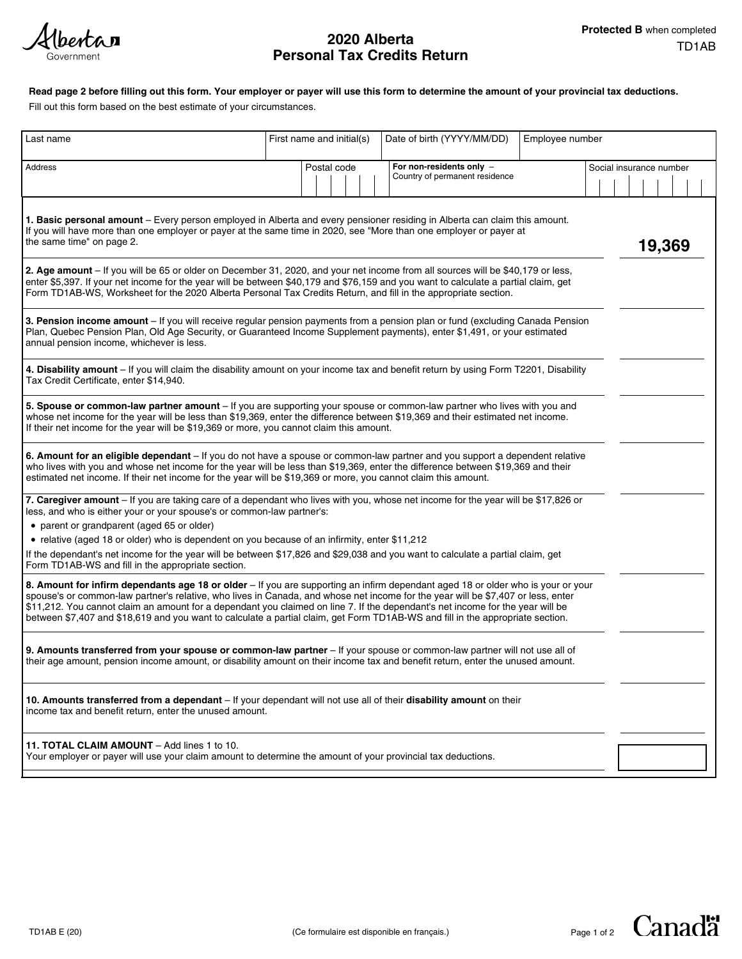(berta**n** Government

# TD1AB **2020 Alberta Personal Tax Credits Return**

## **Read page 2 before filling out this form. Your employer or payer will use this form to determine the amount of your provincial tax deductions.**

Fill out this form based on the best estimate of your circumstances.

| Last name                                                                                                                                                                                                                                                                                                                                                                                                                                                                                                                                | First name and initial(s) | Date of birth (YYYY/MM/DD)                                 | Employee number         |
|------------------------------------------------------------------------------------------------------------------------------------------------------------------------------------------------------------------------------------------------------------------------------------------------------------------------------------------------------------------------------------------------------------------------------------------------------------------------------------------------------------------------------------------|---------------------------|------------------------------------------------------------|-------------------------|
| <b>Address</b>                                                                                                                                                                                                                                                                                                                                                                                                                                                                                                                           | Postal code               | For non-residents only -<br>Country of permanent residence | Social insurance number |
| 1. Basic personal amount - Every person employed in Alberta and every pensioner residing in Alberta can claim this amount.<br>If you will have more than one employer or payer at the same time in 2020, see "More than one employer or payer at<br>the same time" on page 2.                                                                                                                                                                                                                                                            |                           |                                                            | 19,369                  |
| 2. Age amount - If you will be 65 or older on December 31, 2020, and your net income from all sources will be \$40,179 or less,<br>enter \$5,397. If your net income for the year will be between \$40,179 and \$76,159 and you want to calculate a partial claim, get<br>Form TD1AB-WS, Worksheet for the 2020 Alberta Personal Tax Credits Return, and fill in the appropriate section.                                                                                                                                                |                           |                                                            |                         |
| 3. Pension income amount - If you will receive regular pension payments from a pension plan or fund (excluding Canada Pension<br>Plan, Quebec Pension Plan, Old Age Security, or Guaranteed Income Supplement payments), enter \$1,491, or your estimated<br>annual pension income, whichever is less.                                                                                                                                                                                                                                   |                           |                                                            |                         |
| 4. Disability amount - If you will claim the disability amount on your income tax and benefit return by using Form T2201, Disability<br>Tax Credit Certificate, enter \$14,940.                                                                                                                                                                                                                                                                                                                                                          |                           |                                                            |                         |
| 5. Spouse or common-law partner amount - If you are supporting your spouse or common-law partner who lives with you and<br>whose net income for the year will be less than \$19,369, enter the difference between \$19,369 and their estimated net income.<br>If their net income for the year will be \$19,369 or more, you cannot claim this amount.                                                                                                                                                                                   |                           |                                                            |                         |
| 6. Amount for an eligible dependant - If you do not have a spouse or common-law partner and you support a dependent relative<br>who lives with you and whose net income for the year will be less than \$19,369, enter the difference between \$19,369 and their<br>estimated net income. If their net income for the year will be \$19,369 or more, you cannot claim this amount.                                                                                                                                                       |                           |                                                            |                         |
| 7. Caregiver amount - If you are taking care of a dependant who lives with you, whose net income for the year will be \$17,826 or<br>less, and who is either your or your spouse's or common-law partner's:                                                                                                                                                                                                                                                                                                                              |                           |                                                            |                         |
| • parent or grandparent (aged 65 or older)                                                                                                                                                                                                                                                                                                                                                                                                                                                                                               |                           |                                                            |                         |
| • relative (aged 18 or older) who is dependent on you because of an infirmity, enter \$11,212                                                                                                                                                                                                                                                                                                                                                                                                                                            |                           |                                                            |                         |
| If the dependant's net income for the year will be between \$17,826 and \$29,038 and you want to calculate a partial claim, get<br>Form TD1AB-WS and fill in the appropriate section.                                                                                                                                                                                                                                                                                                                                                    |                           |                                                            |                         |
| 8. Amount for infirm dependants age 18 or older - If you are supporting an infirm dependant aged 18 or older who is your or your<br>spouse's or common-law partner's relative, who lives in Canada, and whose net income for the year will be \$7,407 or less, enter<br>\$11,212. You cannot claim an amount for a dependant you claimed on line 7. If the dependant's net income for the year will be<br>between \$7,407 and \$18,619 and you want to calculate a partial claim, get Form TD1AB-WS and fill in the appropriate section. |                           |                                                            |                         |
| 9. Amounts transferred from your spouse or common-law partner - If your spouse or common-law partner will not use all of<br>their age amount, pension income amount, or disability amount on their income tax and benefit return, enter the unused amount.                                                                                                                                                                                                                                                                               |                           |                                                            |                         |
| 10. Amounts transferred from a dependant – If your dependant will not use all of their disability amount on their<br>income tax and benefit return, enter the unused amount.                                                                                                                                                                                                                                                                                                                                                             |                           |                                                            |                         |
| 11. TOTAL CLAIM AMOUNT - Add lines 1 to 10.<br>Your employer or payer will use your claim amount to determine the amount of your provincial tax deductions.                                                                                                                                                                                                                                                                                                                                                                              |                           |                                                            |                         |